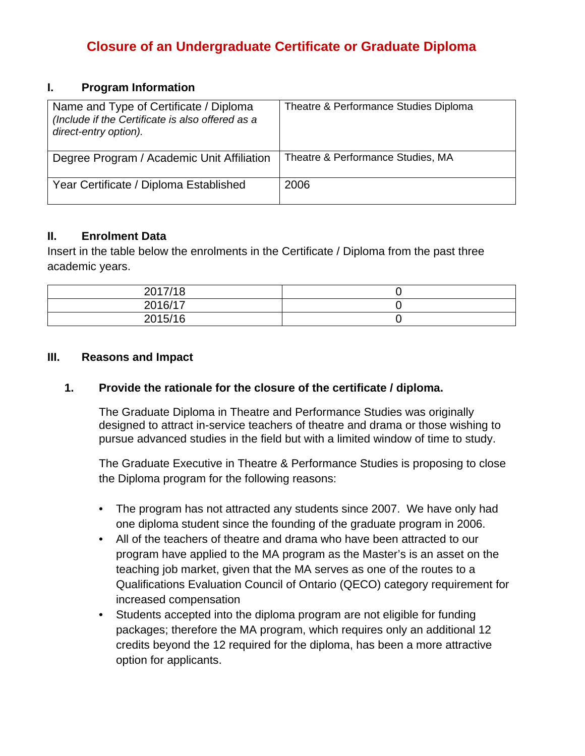# **Closure of an Undergraduate Certificate or Graduate Diploma**

### **I. Program Information**

| Name and Type of Certificate / Diploma<br>(Include if the Certificate is also offered as a<br>direct-entry option). | Theatre & Performance Studies Diploma |
|---------------------------------------------------------------------------------------------------------------------|---------------------------------------|
| Degree Program / Academic Unit Affiliation                                                                          | Theatre & Performance Studies, MA     |
| Year Certificate / Diploma Established                                                                              | 2006                                  |

## **II. Enrolment Data**

Insert in the table below the enrolments in the Certificate / Diploma from the past three academic years.

| 2017/18 |  |
|---------|--|
| 2016/17 |  |
| 2015/16 |  |

## **III. Reasons and Impact**

## **1. Provide the rationale for the closure of the certificate / diploma.**

The Graduate Diploma in Theatre and Performance Studies was originally designed to attract in-service teachers of theatre and drama or those wishing to pursue advanced studies in the field but with a limited window of time to study.

The Graduate Executive in Theatre & Performance Studies is proposing to close the Diploma program for the following reasons:

- The program has not attracted any students since 2007. We have only had one diploma student since the founding of the graduate program in 2006.
- All of the teachers of theatre and drama who have been attracted to our program have applied to the MA program as the Master's is an asset on the teaching job market, given that the MA serves as one of the routes to a Qualifications Evaluation Council of Ontario (QECO) category requirement for increased compensation
- Students accepted into the diploma program are not eligible for funding packages; therefore the MA program, which requires only an additional 12 credits beyond the 12 required for the diploma, has been a more attractive option for applicants.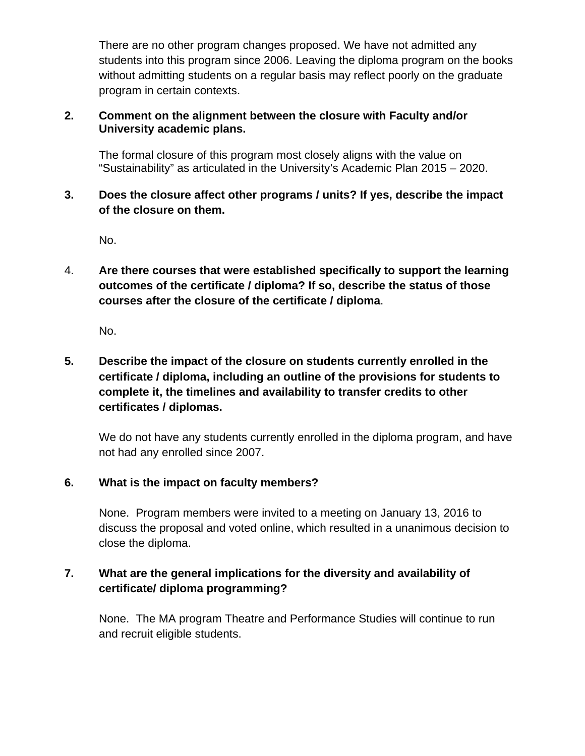There are no other program changes proposed. We have not admitted any students into this program since 2006. Leaving the diploma program on the books without admitting students on a regular basis may reflect poorly on the graduate program in certain contexts.

## **2. Comment on the alignment between the closure with Faculty and/or University academic plans.**

The formal closure of this program most closely aligns with the value on "Sustainability" as articulated in the University's Academic Plan 2015 – 2020.

## **3. Does the closure affect other programs / units? If yes, describe the impact of the closure on them.**

No.

4. **Are there courses that were established specifically to support the learning outcomes of the certificate / diploma? If so, describe the status of those courses after the closure of the certificate / diploma**.

No.

## **5. Describe the impact of the closure on students currently enrolled in the certificate / diploma, including an outline of the provisions for students to complete it, the timelines and availability to transfer credits to other certificates / diplomas.**

We do not have any students currently enrolled in the diploma program, and have not had any enrolled since 2007.

## **6. What is the impact on faculty members?**

None. Program members were invited to a meeting on January 13, 2016 to discuss the proposal and voted online, which resulted in a unanimous decision to close the diploma.

## **7. What are the general implications for the diversity and availability of certificate/ diploma programming?**

None. The MA program Theatre and Performance Studies will continue to run and recruit eligible students.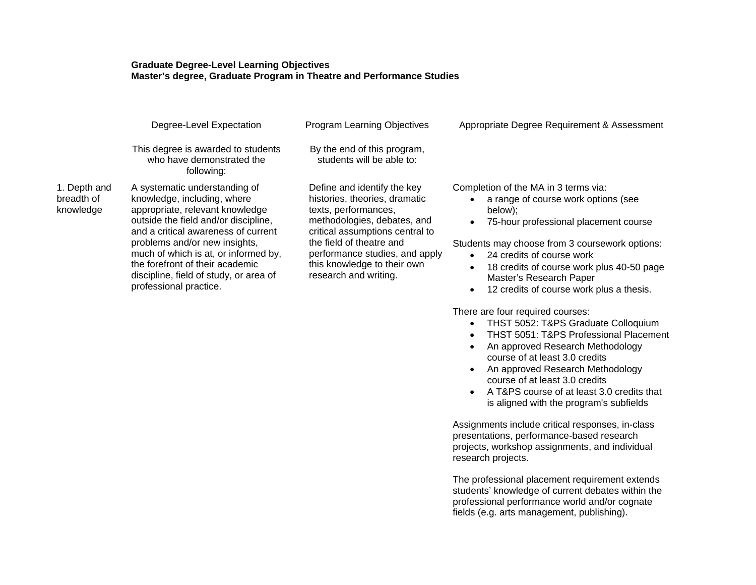#### **Graduate Degree-Level Learning Objectives Master's degree, Graduate Program in Theatre and Performance Studies**

|                                         | Degree-Level Expectation                                                                                                                                                                                                                                                                                                                                       | Program Learning Objectives                                                                                                                                                                                                                                                  | Appropriate Degree Requirement & Assessment                                                                                                                                                                                                                                                                                                                                            |
|-----------------------------------------|----------------------------------------------------------------------------------------------------------------------------------------------------------------------------------------------------------------------------------------------------------------------------------------------------------------------------------------------------------------|------------------------------------------------------------------------------------------------------------------------------------------------------------------------------------------------------------------------------------------------------------------------------|----------------------------------------------------------------------------------------------------------------------------------------------------------------------------------------------------------------------------------------------------------------------------------------------------------------------------------------------------------------------------------------|
|                                         | This degree is awarded to students<br>who have demonstrated the<br>following:                                                                                                                                                                                                                                                                                  | By the end of this program,<br>students will be able to:                                                                                                                                                                                                                     |                                                                                                                                                                                                                                                                                                                                                                                        |
| 1. Depth and<br>breadth of<br>knowledge | A systematic understanding of<br>knowledge, including, where<br>appropriate, relevant knowledge<br>outside the field and/or discipline,<br>and a critical awareness of current<br>problems and/or new insights,<br>much of which is at, or informed by,<br>the forefront of their academic<br>discipline, field of study, or area of<br>professional practice. | Define and identify the key<br>histories, theories, dramatic<br>texts, performances,<br>methodologies, debates, and<br>critical assumptions central to<br>the field of theatre and<br>performance studies, and apply<br>this knowledge to their own<br>research and writing. | Completion of the MA in 3 terms via:<br>a range of course work options (see<br>below);<br>75-hour professional placement course<br>$\bullet$<br>Students may choose from 3 coursework options:<br>24 credits of course work<br>$\bullet$<br>18 credits of course work plus 40-50 page<br>$\bullet$<br>Master's Research Paper<br>12 credits of course work plus a thesis.<br>$\bullet$ |

There are four required courses:

- THST 5052: T&PS Graduate Colloquium
- THST 5051: T&PS Professional Placement
- An approved Research Methodology course of at least 3.0 credits
- An approved Research Methodology course of at least 3.0 credits
- A T&PS course of at least 3.0 credits that is aligned with the program's subfields

Assignments include critical responses, in-class presentations, performance-based research projects, workshop assignments, and individual research projects.

The professional placement requirement extends students' knowledge of current debates within the professional performance world and/or cognate fields (e.g. arts management, publishing).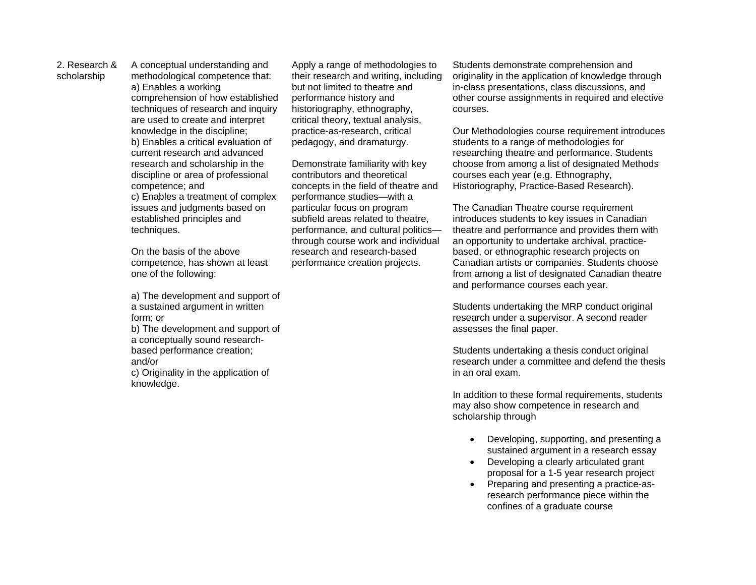2. Research & scholarship

A conceptual understanding and methodological competence that: a) Enables a working comprehension of how established techniques of research and inquiry are used to create and interpret knowledge in the discipline; b) Enables a critical evaluation of current research and advanced research and scholarship in the discipline or area of professional competence; and c) Enables a treatment of complex issues and judgments based on established principles and techniques.

On the basis of the above competence, has shown at least one of the following:

a) The development and support of a sustained argument in written form; or b) The development and support of a conceptually sound researchbased performance creation; and/or c) Originality in the application of knowledge.

Apply a range of methodologies to their research and writing, including but not limited to theatre and performance history and historiography, ethnography, critical theory, textual analysis, practice-as-research, critical pedagogy, and dramaturgy.

Demonstrate familiarity with key contributors and theoretical concepts in the field of theatre and performance studies—with a particular focus on program subfield areas related to theatre, performance, and cultural politics through course work and individual research and research-based performance creation projects.

Students demonstrate comprehension and originality in the application of knowledge through in-class presentations, class discussions, and other course assignments in required and elective courses.

Our Methodologies course requirement introduces students to a range of methodologies for researching theatre and performance. Students choose from among a list of designated Methods courses each year (e.g. Ethnography, Historiography, Practice-Based Research).

The Canadian Theatre course requirement introduces students to key issues in Canadian theatre and performance and provides them with an opportunity to undertake archival, practicebased, or ethnographic research projects on Canadian artists or companies. Students choose from among a list of designated Canadian theatre and performance courses each year.

Students undertaking the MRP conduct original research under a supervisor. A second reader assesses the final paper.

Students undertaking a thesis conduct original research under a committee and defend the thesis in an oral exam.

In addition to these formal requirements, students may also show competence in research and scholarship through

- Developing, supporting, and presenting a sustained argument in a research essay
- Developing a clearly articulated grant proposal for a 1-5 year research project
- Preparing and presenting a practice-asresearch performance piece within the confines of a graduate course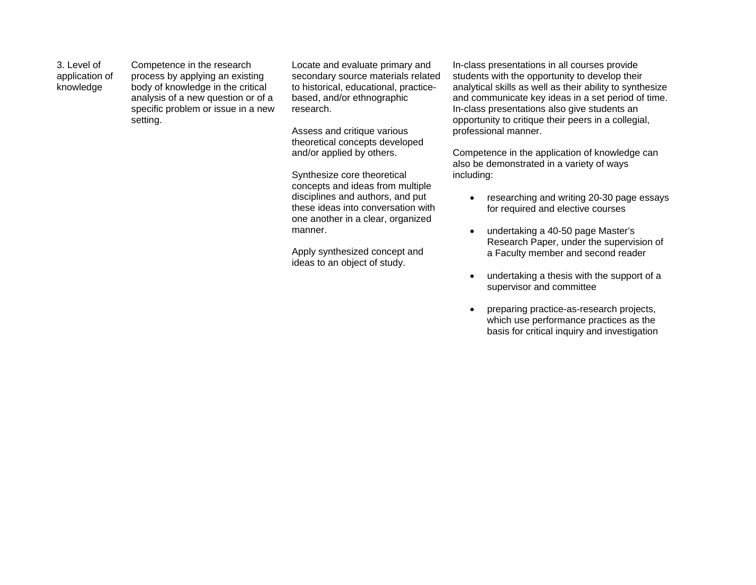3. Level of application of knowledge

Competence in the research process by applying an existing body of knowledge in the critical analysis of a new question or of a specific problem or issue in a new setting.

Locate and evaluate primary and secondary source materials related to historical, educational, practicebased, and/or ethnographic research.

Assess and critique various theoretical concepts developed and/or applied by others.

Synthesize core theoretical concepts and ideas from multiple disciplines and authors, and put these ideas into conversation with one another in a clear, organized manner.

Apply synthesized concept and ideas to an object of study.

In-class presentations in all courses provide students with the opportunity to develop their analytical skills as well as their ability to synthesize and communicate key ideas in a set period of time. In-class presentations also give students an opportunity to critique their peers in a collegial, professional manner.

Competence in the application of knowledge can also be demonstrated in a variety of ways including:

- researching and writing 20-30 page essays for required and elective courses
- undertaking a 40-50 page Master's Research Paper, under the supervision of a Faculty member and second reader
- undertaking a thesis with the support of a supervisor and committee
- preparing practice-as-research projects, which use performance practices as the basis for critical inquiry and investigation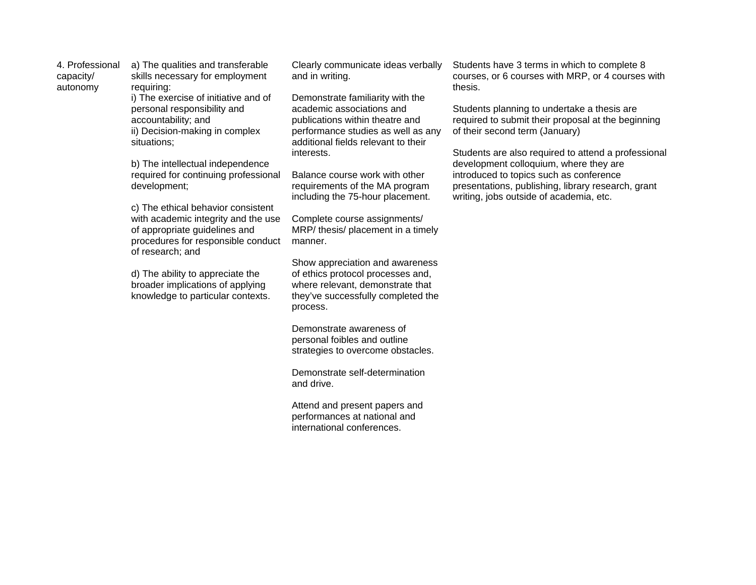4. Professional capacity/ autonomy a) The qualities and transferable skills necessary for employment requiring: i) The exercise of initiative and of personal responsibility and accountability; and ii) Decision-making in complex situations;

> b) The intellectual independence required for continuing professional development;

c) The ethical behavior consistent with academic integrity and the use of appropriate guidelines and procedures for responsible conduct of research; and

d) The ability to appreciate the broader implications of applying knowledge to particular contexts.

Clearly communicate ideas verbally and in writing.

Demonstrate familiarity with the academic associations and publications within theatre and performance studies as well as any additional fields relevant to their interests.

Balance course work with other requirements of the MA program including the 75-hour placement.

Complete course assignments/ MRP/ thesis/ placement in a timely manner.

Show appreciation and awareness of ethics protocol processes and, where relevant, demonstrate that they've successfully completed the process.

Demonstrate awareness of personal foibles and outline strategies to overcome obstacles.

Demonstrate self-determination and drive.

Attend and present papers and performances at national and international conferences.

Students have 3 terms in which to complete 8 courses, or 6 courses with MRP, or 4 courses with thesis.

Students planning to undertake a thesis are required to submit their proposal at the beginning of their second term (January)

Students are also required to attend a professional development colloquium, where they are introduced to topics such as conference presentations, publishing, library research, grant writing, jobs outside of academia, etc.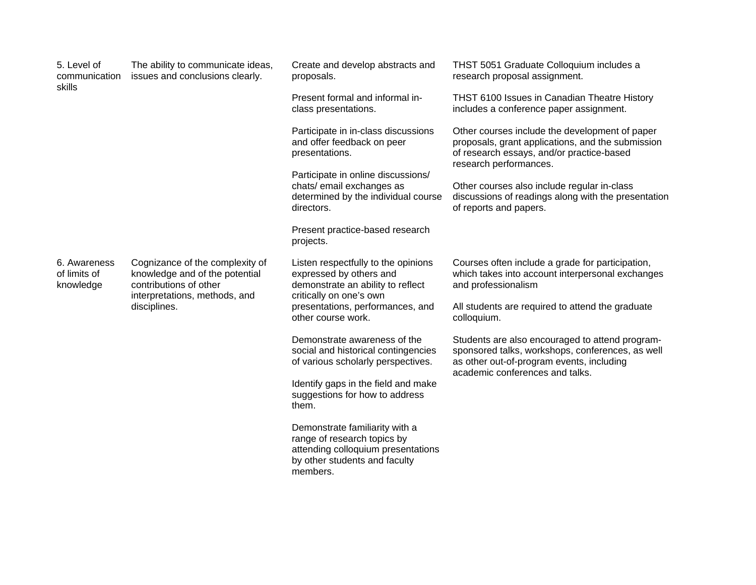| 5. Level of<br>communication<br>skills    | The ability to communicate ideas,<br>issues and conclusions clearly.                                                                         | Create and develop abstracts and<br>proposals.                                                                                                                                           | THST 5051 Graduate Colloquium includes a<br>research proposal assignment.                                                                                                           |
|-------------------------------------------|----------------------------------------------------------------------------------------------------------------------------------------------|------------------------------------------------------------------------------------------------------------------------------------------------------------------------------------------|-------------------------------------------------------------------------------------------------------------------------------------------------------------------------------------|
|                                           |                                                                                                                                              | Present formal and informal in-<br>class presentations.                                                                                                                                  | THST 6100 Issues in Canadian Theatre History<br>includes a conference paper assignment.                                                                                             |
|                                           |                                                                                                                                              | Participate in in-class discussions<br>and offer feedback on peer<br>presentations.                                                                                                      | Other courses include the development of paper<br>proposals, grant applications, and the submission<br>of research essays, and/or practice-based<br>research performances.          |
|                                           |                                                                                                                                              | Participate in online discussions/<br>chats/ email exchanges as<br>determined by the individual course<br>directors.                                                                     | Other courses also include regular in-class<br>discussions of readings along with the presentation<br>of reports and papers.                                                        |
|                                           |                                                                                                                                              | Present practice-based research<br>projects.                                                                                                                                             |                                                                                                                                                                                     |
| 6. Awareness<br>of limits of<br>knowledge | Cognizance of the complexity of<br>knowledge and of the potential<br>contributions of other<br>interpretations, methods, and<br>disciplines. | Listen respectfully to the opinions<br>expressed by others and<br>demonstrate an ability to reflect<br>critically on one's own<br>presentations, performances, and<br>other course work. | Courses often include a grade for participation,<br>which takes into account interpersonal exchanges<br>and professionalism                                                         |
|                                           |                                                                                                                                              |                                                                                                                                                                                          | All students are required to attend the graduate<br>colloquium.                                                                                                                     |
|                                           |                                                                                                                                              | Demonstrate awareness of the<br>social and historical contingencies<br>of various scholarly perspectives.                                                                                | Students are also encouraged to attend program-<br>sponsored talks, workshops, conferences, as well<br>as other out-of-program events, including<br>academic conferences and talks. |
|                                           |                                                                                                                                              | Identify gaps in the field and make<br>suggestions for how to address<br>them.                                                                                                           |                                                                                                                                                                                     |
|                                           |                                                                                                                                              | Demonstrate familiarity with a<br>range of research topics by<br>attending colloquium presentations<br>by other students and faculty<br>members.                                         |                                                                                                                                                                                     |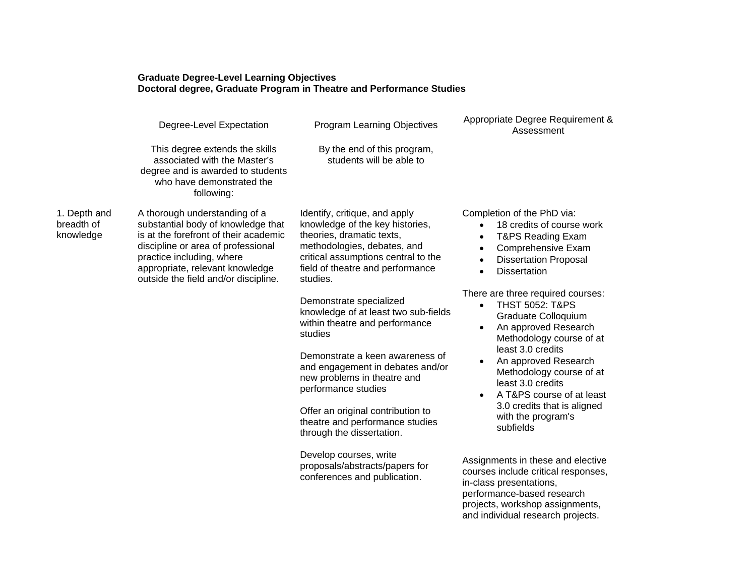#### **Graduate Degree-Level Learning Objectives Doctoral degree, Graduate Program in Theatre and Performance Studies**

|                                         | Degree-Level Expectation                                                                                                                                                                                                                                                                                                                                                                                                                                                       | Program Learning Objectives                                                                                               | Appropriate Degree Requirement &<br>Assessment                                                                                                                                                            |
|-----------------------------------------|--------------------------------------------------------------------------------------------------------------------------------------------------------------------------------------------------------------------------------------------------------------------------------------------------------------------------------------------------------------------------------------------------------------------------------------------------------------------------------|---------------------------------------------------------------------------------------------------------------------------|-----------------------------------------------------------------------------------------------------------------------------------------------------------------------------------------------------------|
|                                         | This degree extends the skills<br>associated with the Master's<br>degree and is awarded to students<br>who have demonstrated the<br>following:                                                                                                                                                                                                                                                                                                                                 | By the end of this program,<br>students will be able to                                                                   |                                                                                                                                                                                                           |
| 1. Depth and<br>breadth of<br>knowledge | A thorough understanding of a<br>Identify, critique, and apply<br>substantial body of knowledge that<br>knowledge of the key histories,<br>is at the forefront of their academic<br>theories, dramatic texts,<br>discipline or area of professional<br>methodologies, debates, and<br>practice including, where<br>appropriate, relevant knowledge<br>outside the field and/or discipline.<br>studies.<br>Demonstrate specialized<br>within theatre and performance<br>studies | critical assumptions central to the<br>field of theatre and performance                                                   | Completion of the PhD via:<br>18 credits of course work<br>T&PS Reading Exam<br>$\bullet$<br>Comprehensive Exam<br>$\bullet$<br><b>Dissertation Proposal</b><br><b>Dissertation</b><br>$\bullet$          |
|                                         |                                                                                                                                                                                                                                                                                                                                                                                                                                                                                | knowledge of at least two sub-fields                                                                                      | There are three required courses:<br><b>THST 5052: T&amp;PS</b><br>$\bullet$<br>Graduate Colloquium<br>An approved Research<br>Methodology course of at                                                   |
|                                         |                                                                                                                                                                                                                                                                                                                                                                                                                                                                                | Demonstrate a keen awareness of<br>and engagement in debates and/or<br>new problems in theatre and<br>performance studies | least 3.0 credits<br>An approved Research<br>Methodology course of at<br>least 3.0 credits<br>A T&PS course of at least<br>3.0 credits that is aligned<br>with the program's<br>subfields                 |
|                                         |                                                                                                                                                                                                                                                                                                                                                                                                                                                                                | Offer an original contribution to<br>theatre and performance studies<br>through the dissertation.                         |                                                                                                                                                                                                           |
|                                         |                                                                                                                                                                                                                                                                                                                                                                                                                                                                                | Develop courses, write<br>proposals/abstracts/papers for<br>conferences and publication.                                  | Assignments in these and elective<br>courses include critical responses,<br>in-class presentations,<br>performance-based research<br>projects, workshop assignments,<br>and individual research projects. |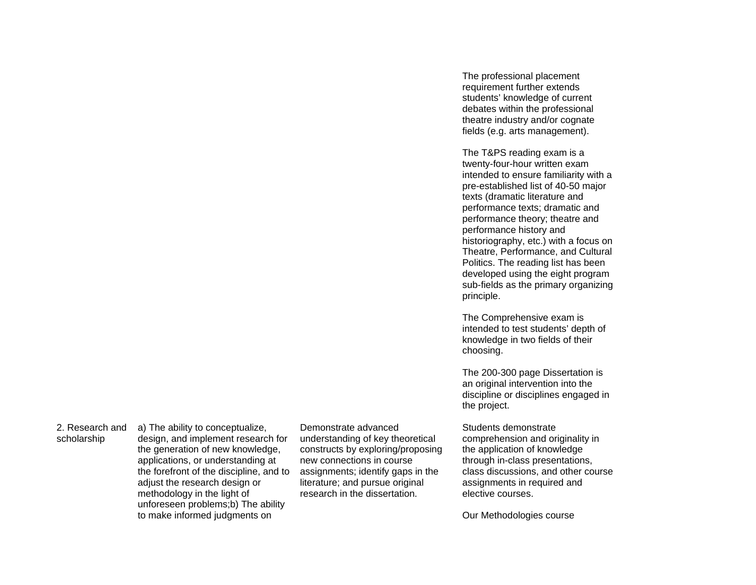2. Research and

scholarship

a) The ability to conceptualize, design, and implement research for the generation of new knowledge, applications, or understanding at the forefront of the discipline, and to adjust the research design or methodology in the light of unforeseen problems;b) The ability to make informed judgments on

Demonstrate advanced understanding of key theoretical constructs by exploring/proposing new connections in course assignments; identify gaps in the literature; and pursue original research in the dissertation.

The professional placement requirement further extends students' knowledge of current debates within the professional theatre industry and/or cognate fields (e.g. arts management).

The T&PS reading exam is a twenty-four-hour written exam intended to ensure familiarity with a pre-established list of 40-50 major texts (dramatic literature and performance texts; dramatic and performance theory; theatre and performance history and historiography, etc.) with a focus on Theatre, Performance, and Cultural Politics. The reading list has been developed using the eight program sub-fields as the primary organizing principle.

The Comprehensive exam is intended to test students' depth of knowledge in two fields of their choosing.

The 200-300 page Dissertation is an original intervention into the discipline or disciplines engaged in the project.

Students demonstrate

comprehension and originality in the application of knowledge through in-class presentations, class discussions, and other course assignments in required and elective courses.

Our Methodologies course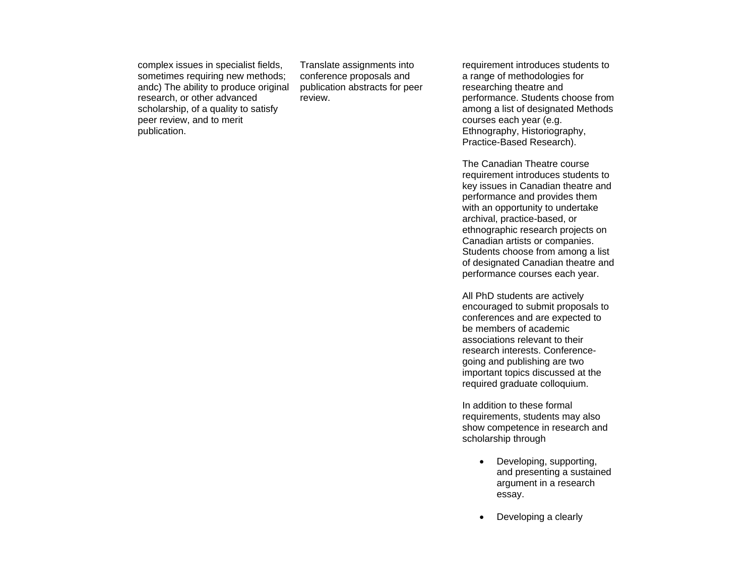complex issues in specialist fields, sometimes requiring new methods; andc) The ability to produce original research, or other advanced scholarship, of a quality to satisfy peer review, and to merit publication.

Translate assignments into conference proposals and publication abstracts for peer review.

requirement introduces students to a range of methodologies for researching theatre and performance. Students choose from among a list of designated Methods courses each year (e.g. Ethnography, Historiography, Practice-Based Research).

The Canadian Theatre course requirement introduces students to key issues in Canadian theatre and performance and provides them with an opportunity to undertake archival, practice-based, or ethnographic research projects on Canadian artists or companies. Students choose from among a list of designated Canadian theatre and performance courses each year.

All PhD students are actively encouraged to submit proposals to conferences and are expected to be members of academic associations relevant to their research interests. Conferencegoing and publishing are two important topics discussed at the required graduate colloquium.

In addition to these formal requirements, students may also show competence in research and scholarship through

- Developing, supporting, and presenting a sustained argument in a research essay.
- Developing a clearly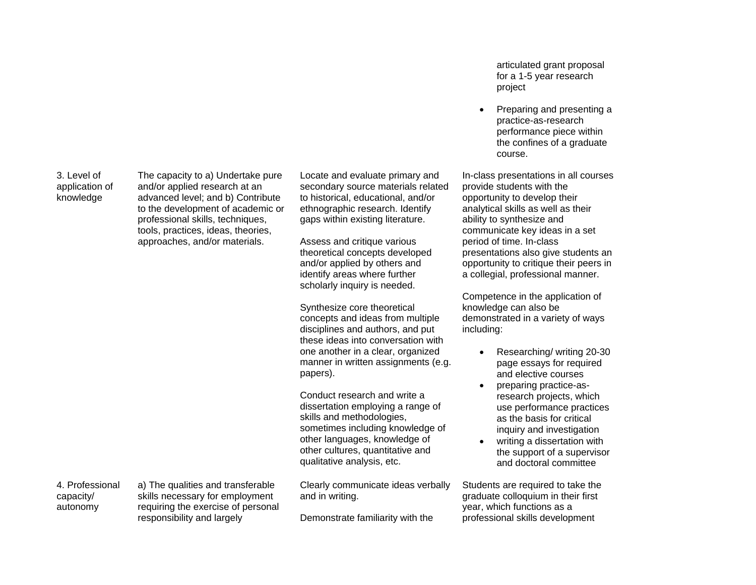3. Level of application of knowledge

The capacity to a) Undertake pure and/or applied research at an advanced level; and b) Contribute to the development of academic or professional skills, techniques, tools, practices, ideas, theories, approaches, and/or materials.

Locate and evaluate primary and secondary source materials related to historical, educational, and/or ethnographic research. Identify gaps within existing literature.

Assess and critique various theoretical concepts developed and/or applied by others and identify areas where further scholarly inquiry is needed.

Synthesize core theoretical concepts and ideas from multiple disciplines and authors, and put these ideas into conversation with one another in a clear, organized manner in written assignments (e.g. papers).

Conduct research and write a dissertation employing a range of skills and methodologies, sometimes including knowledge of other languages, knowledge of other cultures, quantitative and qualitative analysis, etc.

Clearly communicate ideas verbally and in writing.

Demonstrate familiarity with the

articulated grant proposal for a 1-5 year research project

• Preparing and presenting a practice-as-research performance piece within the confines of a graduate course.

In-class presentations in all courses provide students with the opportunity to develop their analytical skills as well as their ability to synthesize and communicate key ideas in a set period of time. In-class presentations also give students an opportunity to critique their peers in a collegial, professional manner.

Competence in the application of knowledge can also be demonstrated in a variety of ways including:

- Researching/ writing 20-30 page essays for required and elective courses
- preparing practice-asresearch projects, which use performance practices as the basis for critical inquiry and investigation
- writing a dissertation with the support of a supervisor and doctoral committee

Students are required to take the graduate colloquium in their first year, which functions as a professional skills development

4. Professional capacity/ autonomy

a) The qualities and transferable skills necessary for employment requiring the exercise of personal responsibility and largely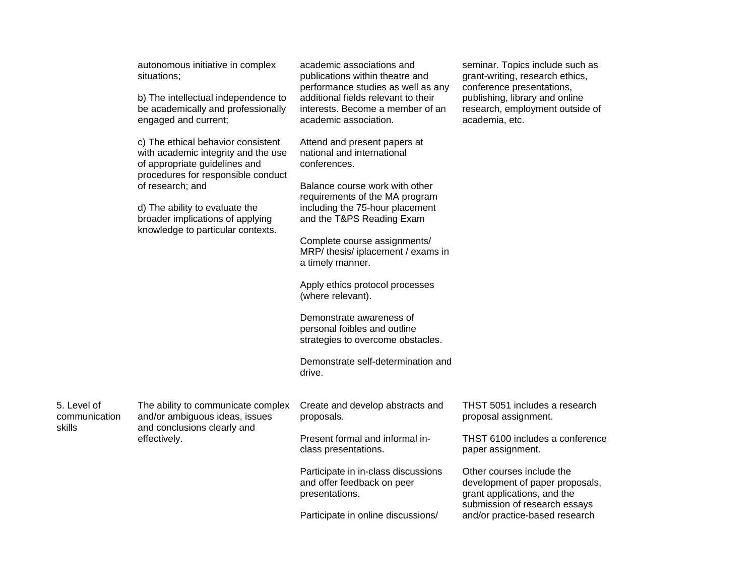|                                        | autonomous initiative in complex<br>situations;<br>b) The intellectual independence to<br>be academically and professionally<br>engaged and current;                                                                                                                            | academic associations and<br>publications within theatre and<br>performance studies as well as any<br>additional fields relevant to their<br>interests. Become a member of an<br>academic association.                                                                                                                                                                                                                                                                                                            | seminar. Topics include such as<br>grant-writing, research ethics,<br>conference presentations,<br>publishing, library and online<br>research, employment outside of<br>academia, etc.                                                                                          |
|----------------------------------------|---------------------------------------------------------------------------------------------------------------------------------------------------------------------------------------------------------------------------------------------------------------------------------|-------------------------------------------------------------------------------------------------------------------------------------------------------------------------------------------------------------------------------------------------------------------------------------------------------------------------------------------------------------------------------------------------------------------------------------------------------------------------------------------------------------------|---------------------------------------------------------------------------------------------------------------------------------------------------------------------------------------------------------------------------------------------------------------------------------|
|                                        | c) The ethical behavior consistent<br>with academic integrity and the use<br>of appropriate guidelines and<br>procedures for responsible conduct<br>of research; and<br>d) The ability to evaluate the<br>broader implications of applying<br>knowledge to particular contexts. | Attend and present papers at<br>national and international<br>conferences.<br>Balance course work with other<br>requirements of the MA program<br>including the 75-hour placement<br>and the T&PS Reading Exam<br>Complete course assignments/<br>MRP/ thesis/ iplacement / exams in<br>a timely manner.<br>Apply ethics protocol processes<br>(where relevant).<br>Demonstrate awareness of<br>personal foibles and outline<br>strategies to overcome obstacles.<br>Demonstrate self-determination and<br>drive. |                                                                                                                                                                                                                                                                                 |
| 5. Level of<br>communication<br>skills | The ability to communicate complex<br>and/or ambiguous ideas, issues<br>and conclusions clearly and<br>effectively.                                                                                                                                                             | Create and develop abstracts and<br>proposals.<br>Present formal and informal in-<br>class presentations.<br>Participate in in-class discussions<br>and offer feedback on peer<br>presentations.<br>Participate in online discussions/                                                                                                                                                                                                                                                                            | THST 5051 includes a research<br>proposal assignment.<br>THST 6100 includes a conference<br>paper assignment.<br>Other courses include the<br>development of paper proposals,<br>grant applications, and the<br>submission of research essays<br>and/or practice-based research |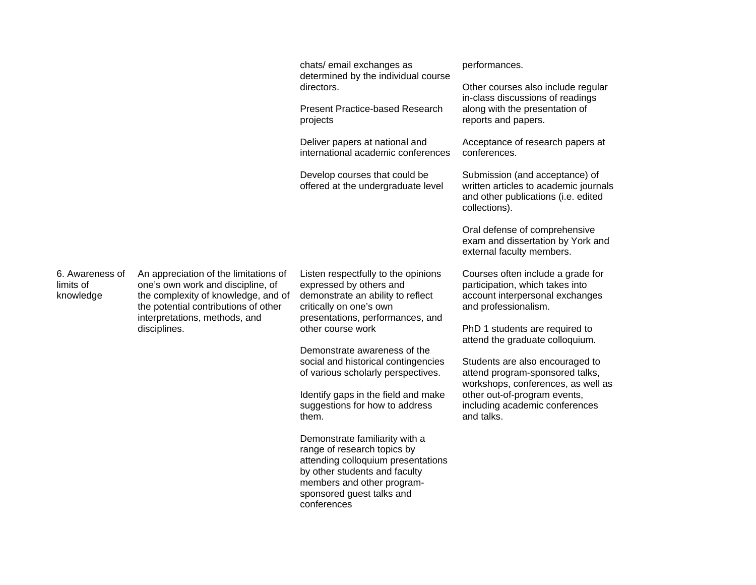|                                           |                                                                                                                                                                                                            | chats/ email exchanges as<br>determined by the individual course<br>directors.                                                                                                                                  | performances.                                                                                                                                                                            |
|-------------------------------------------|------------------------------------------------------------------------------------------------------------------------------------------------------------------------------------------------------------|-----------------------------------------------------------------------------------------------------------------------------------------------------------------------------------------------------------------|------------------------------------------------------------------------------------------------------------------------------------------------------------------------------------------|
|                                           |                                                                                                                                                                                                            |                                                                                                                                                                                                                 | Other courses also include regular<br>in-class discussions of readings<br>along with the presentation of<br>reports and papers.                                                          |
|                                           |                                                                                                                                                                                                            | <b>Present Practice-based Research</b><br>projects                                                                                                                                                              |                                                                                                                                                                                          |
|                                           |                                                                                                                                                                                                            | Deliver papers at national and<br>international academic conferences                                                                                                                                            | Acceptance of research papers at<br>conferences.                                                                                                                                         |
|                                           |                                                                                                                                                                                                            | Develop courses that could be<br>offered at the undergraduate level                                                                                                                                             | Submission (and acceptance) of<br>written articles to academic journals<br>and other publications (i.e. edited<br>collections).                                                          |
|                                           |                                                                                                                                                                                                            |                                                                                                                                                                                                                 | Oral defense of comprehensive<br>exam and dissertation by York and<br>external faculty members.                                                                                          |
| 6. Awareness of<br>limits of<br>knowledge | An appreciation of the limitations of<br>one's own work and discipline, of<br>the complexity of knowledge, and of<br>the potential contributions of other<br>interpretations, methods, and<br>disciplines. | Listen respectfully to the opinions<br>expressed by others and<br>demonstrate an ability to reflect<br>critically on one's own<br>and professionalism.<br>presentations, performances, and<br>other course work | Courses often include a grade for<br>participation, which takes into<br>account interpersonal exchanges                                                                                  |
|                                           |                                                                                                                                                                                                            |                                                                                                                                                                                                                 | PhD 1 students are required to<br>attend the graduate colloquium.                                                                                                                        |
|                                           |                                                                                                                                                                                                            | Demonstrate awareness of the<br>social and historical contingencies<br>of various scholarly perspectives.                                                                                                       | Students are also encouraged to<br>attend program-sponsored talks,<br>workshops, conferences, as well as<br>other out-of-program events,<br>including academic conferences<br>and talks. |
|                                           |                                                                                                                                                                                                            | Identify gaps in the field and make<br>suggestions for how to address<br>them.                                                                                                                                  |                                                                                                                                                                                          |
|                                           |                                                                                                                                                                                                            | Demonstrate familiarity with a<br>range of research topics by<br>attending colloquium presentations<br>by other students and faculty<br>members and other program-<br>sponsored guest talks and<br>conferences  |                                                                                                                                                                                          |
|                                           |                                                                                                                                                                                                            |                                                                                                                                                                                                                 |                                                                                                                                                                                          |